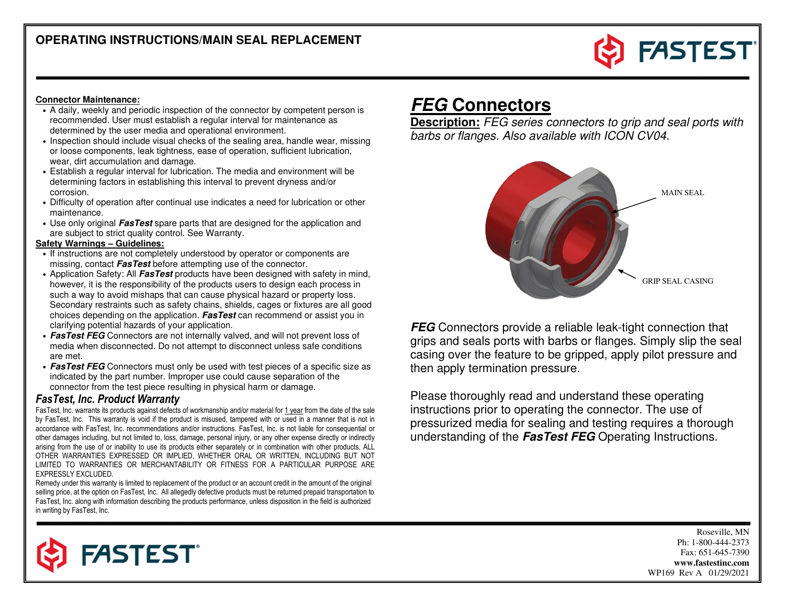

#### **Connector Maintenance:**

- A daily, weekly and periodic inspection of the connector by competent person is recommended. User must establish a regular interval for maintenance as determined by the user media and operational environment.
- Inspection should include visual checks of the sealing area, handle wear, missing or loose components, leak tightness, ease of operation, sufficient lubrication, wear, dirt accumulation and damage.
- Establish a regular interval for lubrication. The media and environment will be determining factors in establishing this interval to prevent dryness and/or corrosion.
- Difficulty of operation after continual use indicates a need for lubrication or other maintenance.
- Use only original **FasTest** spare parts that are designed for the application and are subject to strict quality control. See Warranty.

#### **Safety Warnings – Guidelines:**

- If instructions are not completely understood by operator or components are missing, contact **FasTest** before attempting use of the connector.
- Application Safety: All **FasTest** products have been designed with safety in mind, however, it is the responsibility of the products users to design each process in such a way to avoid mishaps that can cause physical hazard or property loss. Secondary restraints such as safety chains, shields, cages or fixtures are all good choices depending on the application. **FasTest** can recommend or assist you in clarifying potential hazards of your application.
- **FasTest FEG** Connectors are not internally valved, and will not prevent loss of media when disconnected. Do not attempt to disconnect unless safe conditions are met.
- **FasTest FEG** Connectors must only be used with test pieces of a specific size as indicated by the part number. Improper use could cause separation of the connector from the test piece resulting in physical harm or damage.

#### FasTest, Inc. Product Warranty

FasTest, Inc. warrants its products against defects of workmanship and/or material for <u>1 year</u> from the date of the sale by FasTest, Inc. This warranty is void if the product is misused, tampered with or used in a manner that is not in accordance with FasTest, Inc. recommendations and/or instructions. FasTest, Inc. is not liable for consequential or other damages including, but not limited to, loss, damage, personal injury, or any other expense directly or indirectly arising from the use of or inability to use its products either separately or in combination with other products. ALL OTHER WARRANTIES EXPRESSED OR IMPLIED, WHETHER ORAL OR WRITTEN, INCLUDING BUT NOT LIMITED TO WARRANTIES OR MERCHANTABILITY OR FITNESS FOR A PARTICULAR PURPOSE ARE EXPRESSLY EXCLUDED.

 Remedy under this warranty is limited to replacement of the product or an account credit in the amount of the original selling price, at the option on FasTest, Inc. All allegedly defective products must be returned prepaid transportation to FasTest, Inc. along with information describing the products performance, unless disposition in the field is authorized in writing by FasTest, Inc.

# **FEG Connectors**

 **Description:** FEG series connectors to grip and seal ports with barbs or flanges. Also available with ICON CV04.



**FEG** Connectors provide a reliable leak-tight connection that grips and seals ports with barbs or flanges. Simply slip the seal casing over the feature to be gripped, apply pilot pressure and then apply termination pressure.

Please thoroughly read and understand these operating instructions prior to operating the connector. The use of pressurized media for sealing and testing requires a thorough understanding of the **FasTest FEG** Operating Instructions.

> Roseville, MN Ph: 1-800-444-2373 Fax: 651-645-7390 **www.fastestinc.com** WP169 Rev A 01/29/2021

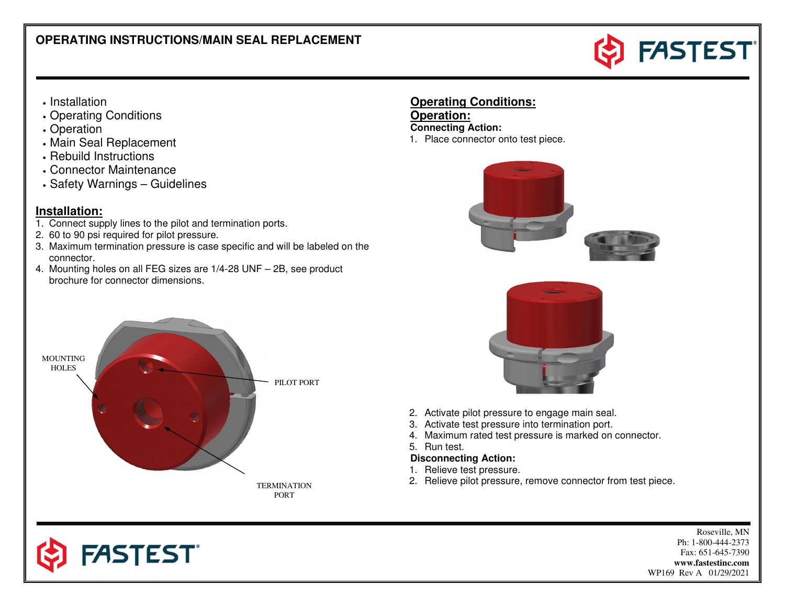

- Installation
- Operating Conditions
- Operation
- Main Seal Replacement
- Rebuild Instructions
- Connector Maintenance
- Safety Warnings Guidelines

### **Installation:**

- 1. Connect supply lines to the pilot and termination ports.
- 2. 60 to 90 psi required for pilot pressure.
- 3. Maximum termination pressure is case specific and will be labeled on the connector.
- 4. Mounting holes on all FEG sizes are 1/4-28 UNF 2B, see product brochure for connector dimensions.



**Operation: Connecting Action:** 1. Place connector onto test piece.







**FASTEST**®

- 2. Activate pilot pressure to engage main seal.
- 3. Activate test pressure into termination port.
- 4. Maximum rated test pressure is marked on connector.
- 5. Run test.

#### **Disconnecting Action:**

- 1. Relieve test pressure.
- 2. Relieve pilot pressure, remove connector from test piece. TERMINATION

Roseville, MN Ph: 1-800-444-2373 Fax: 651-645-7390 **www.fastestinc.com** WP169 Rev A 01/29/2021